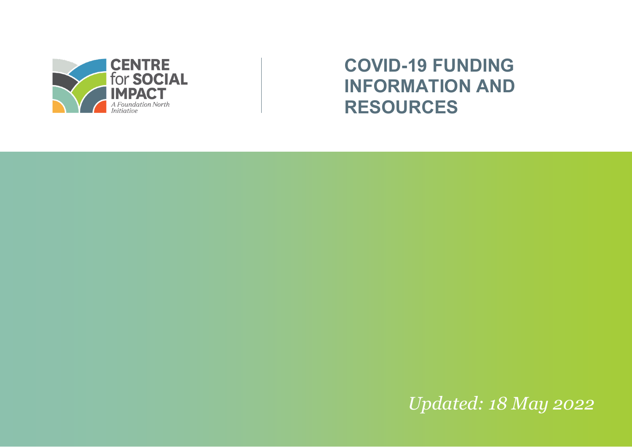

# **COVID-19 FUNDING INFORMATION AND RESOURCES**

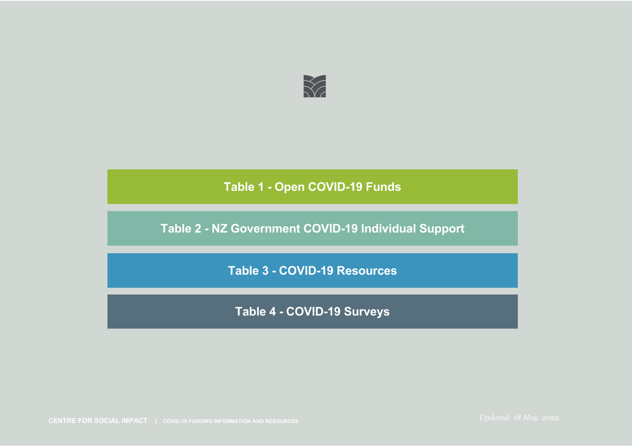

**Table 2 - NZ Government COVID-19 Individual Support**

**Table 3 - COVID-19 Resources**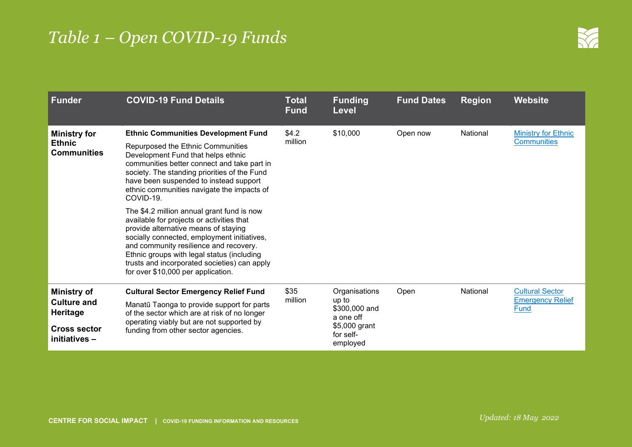| <b>Funder</b>                                                                                      | <b>COVID-19 Fund Details</b>                                                                                                                                                                                                                                                                                                                                 | Total<br><b>Fund</b> | <b>Funding</b><br><b>Level</b>                                                                 | <b>Fund Dates</b> | <b>Region</b> | <b>Website</b>                                            |
|----------------------------------------------------------------------------------------------------|--------------------------------------------------------------------------------------------------------------------------------------------------------------------------------------------------------------------------------------------------------------------------------------------------------------------------------------------------------------|----------------------|------------------------------------------------------------------------------------------------|-------------------|---------------|-----------------------------------------------------------|
| <b>Ministry for</b><br><b>Ethnic</b><br><b>Communities</b>                                         | <b>Ethnic Communities Development Fund</b><br>Repurposed the Ethnic Communities<br>Development Fund that helps ethnic<br>communities better connect and take part in<br>society. The standing priorities of the Fund<br>have been suspended to instead support<br>ethnic communities navigate the impacts of<br>COVID-19.                                    | \$4.2<br>million     | \$10,000                                                                                       | Open now          | National      | <b>Ministry for Ethnic</b><br><b>Communities</b>          |
|                                                                                                    | The \$4.2 million annual grant fund is now<br>available for projects or activities that<br>provide alternative means of staying<br>socially connected, employment initiatives,<br>and community resilience and recovery.<br>Ethnic groups with legal status (including<br>trusts and incorporated societies) can apply<br>for over \$10,000 per application. |                      |                                                                                                |                   |               |                                                           |
| <b>Ministry of</b><br><b>Culture and</b><br><b>Heritage</b><br><b>Cross sector</b><br>initiatives- | <b>Cultural Sector Emergency Relief Fund</b><br>Manatū Taonga to provide support for parts<br>of the sector which are at risk of no longer<br>operating viably but are not supported by<br>funding from other sector agencies.                                                                                                                               | \$35<br>million      | Organisations<br>up to<br>\$300,000 and<br>a one off<br>\$5,000 grant<br>for self-<br>employed | Open              | National      | <b>Cultural Sector</b><br><b>Emergency Relief</b><br>Fund |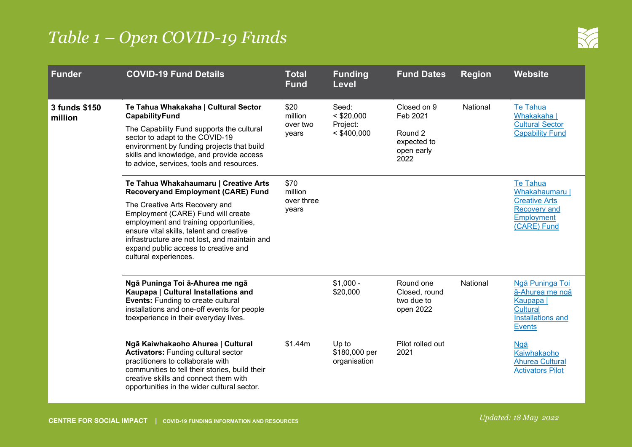

| <b>Funder</b>            | <b>COVID-19 Fund Details</b>                                                                                                                                                                                                                                                                                                                                       | <b>Total</b><br><b>Fund</b>            | <b>Funding</b><br><b>Level</b>                     | <b>Fund Dates</b>                                                       | <b>Region</b> | <b>Website</b>                                                                                                  |
|--------------------------|--------------------------------------------------------------------------------------------------------------------------------------------------------------------------------------------------------------------------------------------------------------------------------------------------------------------------------------------------------------------|----------------------------------------|----------------------------------------------------|-------------------------------------------------------------------------|---------------|-----------------------------------------------------------------------------------------------------------------|
| 3 funds \$150<br>million | Te Tahua Whakakaha   Cultural Sector<br><b>CapabilityFund</b><br>The Capability Fund supports the cultural<br>sector to adapt to the COVID-19<br>environment by funding projects that build<br>skills and knowledge, and provide access<br>to advice, services, tools and resources.                                                                               | \$20<br>million<br>over two<br>years   | Seed:<br>$<$ \$20,000<br>Project:<br>$<$ \$400,000 | Closed on 9<br>Feb 2021<br>Round 2<br>expected to<br>open early<br>2022 | National      | <b>Te Tahua</b><br>Whakakaha  <br><b>Cultural Sector</b><br><b>Capability Fund</b>                              |
|                          | Te Tahua Whakahaumaru   Creative Arts<br><b>Recoveryand Employment (CARE) Fund</b><br>The Creative Arts Recovery and<br>Employment (CARE) Fund will create<br>employment and training opportunities,<br>ensure vital skills, talent and creative<br>infrastructure are not lost, and maintain and<br>expand public access to creative and<br>cultural experiences. | \$70<br>million<br>over three<br>years |                                                    |                                                                         |               | <b>Te Tahua</b><br>Whakahaumaru  <br><b>Creative Arts</b><br><b>Recovery and</b><br>Employment<br>(CARE) Fund   |
|                          | Ngā Puninga Toi ā-Ahurea me ngā<br>Kaupapa   Cultural Installations and<br><b>Events: Funding to create cultural</b><br>installations and one-off events for people<br>toexperience in their everyday lives.                                                                                                                                                       |                                        | $$1,000 -$<br>\$20,000                             | Round one<br>Closed, round<br>two due to<br>open 2022                   | National      | Ngā Puninga Toi<br>ā-Ahurea me ngā<br>Kaupapa  <br><b>Cultural</b><br><b>Installations and</b><br><b>Events</b> |
|                          | Ngā Kaiwhakaoho Ahurea   Cultural<br><b>Activators:</b> Funding cultural sector<br>practitioners to collaborate with<br>communities to tell their stories, build their<br>creative skills and connect them with<br>opportunities in the wider cultural sector.                                                                                                     | \$1.44m                                | Up to<br>\$180,000 per<br>organisation             | Pilot rolled out<br>2021                                                |               | Naā<br>Kaiwhakaoho<br><b>Ahurea Cultural</b><br><b>Activators Pilot</b>                                         |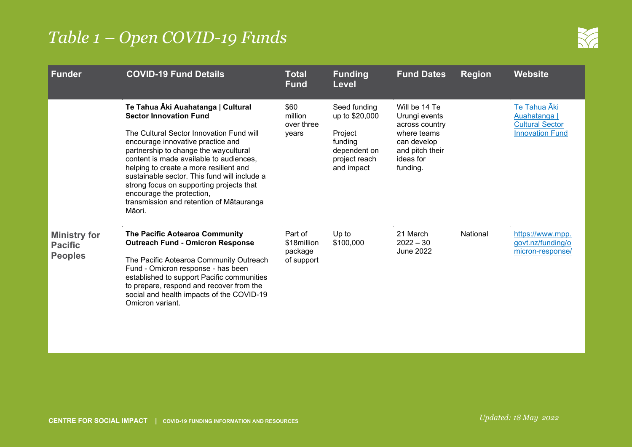

| <b>Funder</b>                                           | <b>COVID-19 Fund Details</b>                                                                                                                                                                                                                                                                                                                                                                                                                                      | <b>Total</b><br><b>Fund</b>                     | <b>Funding</b><br><b>Level</b>                                                                      | <b>Fund Dates</b>                                                                                                          | <b>Region</b> | <b>Website</b>                                                                   |
|---------------------------------------------------------|-------------------------------------------------------------------------------------------------------------------------------------------------------------------------------------------------------------------------------------------------------------------------------------------------------------------------------------------------------------------------------------------------------------------------------------------------------------------|-------------------------------------------------|-----------------------------------------------------------------------------------------------------|----------------------------------------------------------------------------------------------------------------------------|---------------|----------------------------------------------------------------------------------|
|                                                         | Te Tahua Āki Auahatanga   Cultural<br><b>Sector Innovation Fund</b><br>The Cultural Sector Innovation Fund will<br>encourage innovative practice and<br>partnership to change the waycultural<br>content is made available to audiences,<br>helping to create a more resilient and<br>sustainable sector. This fund will include a<br>strong focus on supporting projects that<br>encourage the protection,<br>transmission and retention of Mātauranga<br>Māori. | \$60<br>million<br>over three<br>years          | Seed funding<br>up to \$20,000<br>Project<br>funding<br>dependent on<br>project reach<br>and impact | Will be 14 Te<br>Urungi events<br>across country<br>where teams<br>can develop<br>and pitch their<br>ideas for<br>funding. |               | Te Tahua Āki<br>Auahatanga  <br><b>Cultural Sector</b><br><b>Innovation Fund</b> |
| <b>Ministry for</b><br><b>Pacific</b><br><b>Peoples</b> | The Pacific Aotearoa Community<br><b>Outreach Fund - Omicron Response</b><br>The Pacific Aotearoa Community Outreach<br>Fund - Omicron response - has been<br>established to support Pacific communities<br>to prepare, respond and recover from the<br>social and health impacts of the COVID-19<br>Omicron variant.                                                                                                                                             | Part of<br>\$18million<br>package<br>of support | Up to<br>\$100,000                                                                                  | 21 March<br>$2022 - 30$<br><b>June 2022</b>                                                                                | National      | https://www.mpp.<br>govt.nz/funding/o<br>micron-response/                        |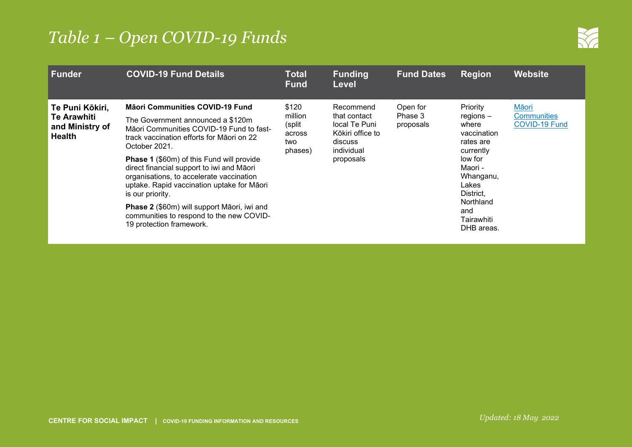

| <b>Funder</b>                                                             | <b>COVID-19 Fund Details</b>                                                                                                                                                                                                                                                                                                                                                                                                                                                                                                | <b>Total</b><br><b>Fund</b>                             | <b>Funding</b><br><b>Level</b>                                                                       | <b>Fund Dates</b>                | <b>Region</b>                                                                                                                                                                      | <b>Website</b>                                      |
|---------------------------------------------------------------------------|-----------------------------------------------------------------------------------------------------------------------------------------------------------------------------------------------------------------------------------------------------------------------------------------------------------------------------------------------------------------------------------------------------------------------------------------------------------------------------------------------------------------------------|---------------------------------------------------------|------------------------------------------------------------------------------------------------------|----------------------------------|------------------------------------------------------------------------------------------------------------------------------------------------------------------------------------|-----------------------------------------------------|
| Te Puni Kōkiri,<br><b>Te Arawhiti</b><br>and Ministry of<br><b>Health</b> | <b>Mäori Communities COVID-19 Fund</b><br>The Government announced a \$120m<br>Māori Communities COVID-19 Fund to fast-<br>track vaccination efforts for Maori on 22<br>October 2021.<br><b>Phase 1 (\$60m) of this Fund will provide</b><br>direct financial support to iwi and Māori<br>organisations, to accelerate vaccination<br>uptake. Rapid vaccination uptake for Māori<br>is our priority.<br>Phase 2 (\$60m) will support Māori, iwi and<br>communities to respond to the new COVID-<br>19 protection framework. | \$120<br>million<br>(split)<br>across<br>two<br>phases) | Recommend<br>that contact<br>local Te Puni<br>Kōkiri office to<br>discuss<br>individual<br>proposals | Open for<br>Phase 3<br>proposals | Priority<br>$regions -$<br>where<br>vaccination<br>rates are<br>currently<br>low for<br>Maori -<br>Whanganu,<br>Lakes<br>District,<br>Northland<br>and<br>Tairawhiti<br>DHB areas. | Māori<br><b>Communities</b><br><b>COVID-19 Fund</b> |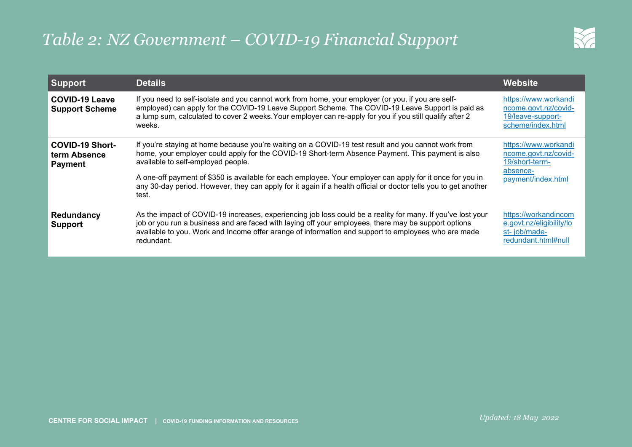# *Table 2: NZ Government – COVID-19 Financial Support*



| <b>Support</b>                                           | <b>Details</b>                                                                                                                                                                                                                                                                                                                                                                                                                                                                          | <b>Website</b>                                                                                   |
|----------------------------------------------------------|-----------------------------------------------------------------------------------------------------------------------------------------------------------------------------------------------------------------------------------------------------------------------------------------------------------------------------------------------------------------------------------------------------------------------------------------------------------------------------------------|--------------------------------------------------------------------------------------------------|
| <b>COVID-19 Leave</b><br><b>Support Scheme</b>           | If you need to self-isolate and you cannot work from home, your employer (or you, if you are self-<br>employed) can apply for the COVID-19 Leave Support Scheme. The COVID-19 Leave Support is paid as<br>a lump sum, calculated to cover 2 weeks. Your employer can re-apply for you if you still qualify after 2<br>weeks.                                                                                                                                                            | https://www.workandi<br>ncome.govt.nz/covid-<br>19/leave-support-<br>scheme/index.html           |
| <b>COVID-19 Short-</b><br>term Absence<br><b>Payment</b> | If you're staying at home because you're waiting on a COVID-19 test result and you cannot work from<br>home, your employer could apply for the COVID-19 Short-term Absence Payment. This payment is also<br>available to self-employed people.<br>A one-off payment of \$350 is available for each employee. Your employer can apply for it once for you in<br>any 30-day period. However, they can apply for it again if a health official or doctor tells you to get another<br>test. | https://www.workandi<br>ncome.govt.nz/covid-<br>19/short-term-<br>absence-<br>payment/index.html |
| Redundancy<br><b>Support</b>                             | As the impact of COVID-19 increases, experiencing job loss could be a reality for many. If you've lost your<br>job or you run a business and are faced with laying off your employees, there may be support options<br>available to you. Work and Income offer arange of information and support to employees who are made<br>redundant.                                                                                                                                                | https://workandincom<br>e.govt.nz/eligibility/lo<br>st-job/made-<br>redundant.html#null          |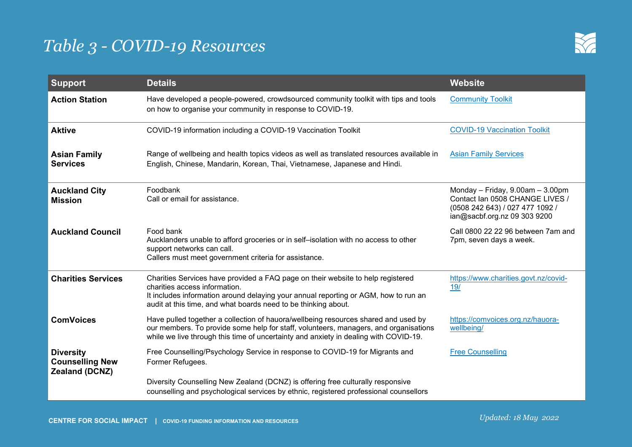

| <b>Support</b>                                               | <b>Details</b>                                                                                                                                                                                                                                                            | <b>Website</b>                                                                                                                           |
|--------------------------------------------------------------|---------------------------------------------------------------------------------------------------------------------------------------------------------------------------------------------------------------------------------------------------------------------------|------------------------------------------------------------------------------------------------------------------------------------------|
| <b>Action Station</b>                                        | Have developed a people-powered, crowdsourced community toolkit with tips and tools<br>on how to organise your community in response to COVID-19.                                                                                                                         | <b>Community Toolkit</b>                                                                                                                 |
| <b>Aktive</b>                                                | COVID-19 information including a COVID-19 Vaccination Toolkit                                                                                                                                                                                                             | <b>COVID-19 Vaccination Toolkit</b>                                                                                                      |
| <b>Asian Family</b><br><b>Services</b>                       | Range of wellbeing and health topics videos as well as translated resources available in<br>English, Chinese, Mandarin, Korean, Thai, Vietnamese, Japanese and Hindi.                                                                                                     | <b>Asian Family Services</b>                                                                                                             |
| <b>Auckland City</b><br><b>Mission</b>                       | Foodbank<br>Call or email for assistance.                                                                                                                                                                                                                                 | Monday - Friday, $9.00am - 3.00pm$<br>Contact Ian 0508 CHANGE LIVES /<br>(0508 242 643) / 027 477 1092 /<br>ian@sacbf.org.nz 09 303 9200 |
| <b>Auckland Council</b>                                      | Food bank<br>Aucklanders unable to afford groceries or in self-isolation with no access to other<br>support networks can call.<br>Callers must meet government criteria for assistance.                                                                                   | Call 0800 22 22 96 between 7am and<br>7pm, seven days a week.                                                                            |
| <b>Charities Services</b>                                    | Charities Services have provided a FAQ page on their website to help registered<br>charities access information.<br>It includes information around delaying your annual reporting or AGM, how to run an<br>audit at this time, and what boards need to be thinking about. | https://www.charities.govt.nz/covid-<br>19/                                                                                              |
| <b>ComVoices</b>                                             | Have pulled together a collection of hauora/wellbeing resources shared and used by<br>our members. To provide some help for staff, volunteers, managers, and organisations<br>while we live through this time of uncertainty and anxiety in dealing with COVID-19.        | https://comvoices.org.nz/hauora-<br>wellbeing/                                                                                           |
| <b>Diversity</b><br><b>Counselling New</b><br>Zealand (DCNZ) | Free Counselling/Psychology Service in response to COVID-19 for Migrants and<br>Former Refugees.                                                                                                                                                                          | <b>Free Counselling</b>                                                                                                                  |
|                                                              | Diversity Counselling New Zealand (DCNZ) is offering free culturally responsive<br>counselling and psychological services by ethnic, registered professional counsellors                                                                                                  |                                                                                                                                          |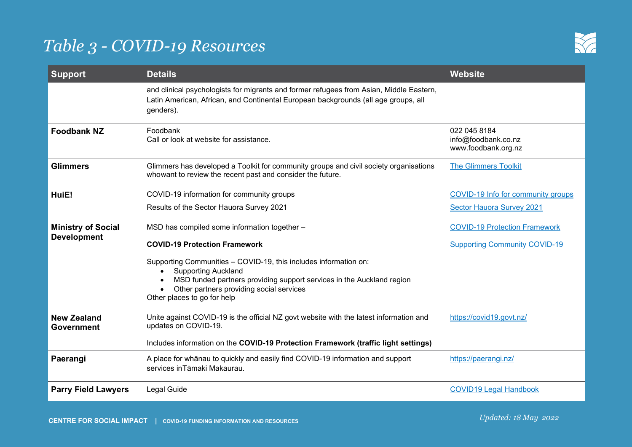

| <b>Support</b>                                  | <b>Details</b>                                                                                                                                                                                                                                     | Website                                                    |
|-------------------------------------------------|----------------------------------------------------------------------------------------------------------------------------------------------------------------------------------------------------------------------------------------------------|------------------------------------------------------------|
|                                                 | and clinical psychologists for migrants and former refugees from Asian, Middle Eastern,<br>Latin American, African, and Continental European backgrounds (all age groups, all<br>genders).                                                         |                                                            |
| <b>Foodbank NZ</b>                              | Foodbank<br>Call or look at website for assistance.                                                                                                                                                                                                | 022 045 8184<br>info@foodbank.co.nz<br>www.foodbank.org.nz |
| <b>Glimmers</b>                                 | Glimmers has developed a Toolkit for community groups and civil society organisations<br>whowant to review the recent past and consider the future.                                                                                                | <b>The Glimmers Toolkit</b>                                |
| HuiE!                                           | COVID-19 information for community groups                                                                                                                                                                                                          | COVID-19 Info for community groups                         |
|                                                 | Results of the Sector Hauora Survey 2021                                                                                                                                                                                                           | Sector Hauora Survey 2021                                  |
| <b>Ministry of Social</b><br><b>Development</b> | MSD has compiled some information together -                                                                                                                                                                                                       | <b>COVID-19 Protection Framework</b>                       |
|                                                 | <b>COVID-19 Protection Framework</b>                                                                                                                                                                                                               | <b>Supporting Community COVID-19</b>                       |
|                                                 | Supporting Communities - COVID-19, this includes information on:<br><b>Supporting Auckland</b><br>MSD funded partners providing support services in the Auckland region<br>Other partners providing social services<br>Other places to go for help |                                                            |
| <b>New Zealand</b><br><b>Government</b>         | Unite against COVID-19 is the official NZ govt website with the latest information and<br>updates on COVID-19.                                                                                                                                     | https://covid19.govt.nz/                                   |
|                                                 | Includes information on the COVID-19 Protection Framework (traffic light settings)                                                                                                                                                                 |                                                            |
| Paerangi                                        | A place for whanau to quickly and easily find COVID-19 information and support<br>services in Tāmaki Makaurau.                                                                                                                                     | https://paerangi.nz/                                       |
| <b>Parry Field Lawyers</b>                      | Legal Guide                                                                                                                                                                                                                                        | <b>COVID19 Legal Handbook</b>                              |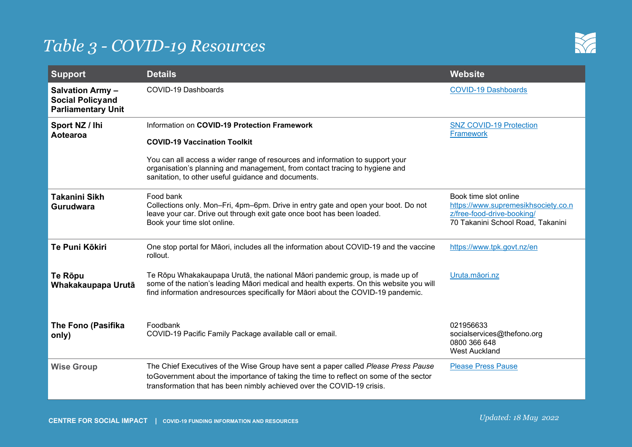

| <b>Support</b>                                                                  | <b>Details</b>                                                                                                                                                                                                                                                                                             | <b>Website</b>                                                                                                                  |
|---------------------------------------------------------------------------------|------------------------------------------------------------------------------------------------------------------------------------------------------------------------------------------------------------------------------------------------------------------------------------------------------------|---------------------------------------------------------------------------------------------------------------------------------|
| <b>Salvation Army -</b><br><b>Social Policyand</b><br><b>Parliamentary Unit</b> | COVID-19 Dashboards                                                                                                                                                                                                                                                                                        | <b>COVID-19 Dashboards</b>                                                                                                      |
| Sport NZ / Ihi<br>Aotearoa                                                      | Information on COVID-19 Protection Framework<br><b>COVID-19 Vaccination Toolkit</b><br>You can all access a wider range of resources and information to support your<br>organisation's planning and management, from contact tracing to hygiene and<br>sanitation, to other useful guidance and documents. | <b>SNZ COVID-19 Protection</b><br><b>Framework</b>                                                                              |
| <b>Takanini Sikh</b><br>Gurudwara                                               | Food bank<br>Collections only. Mon-Fri, 4pm-6pm. Drive in entry gate and open your boot. Do not<br>leave your car. Drive out through exit gate once boot has been loaded.<br>Book your time slot online.                                                                                                   | Book time slot online<br>https://www.supremesikhsociety.co.n<br>z/free-food-drive-booking/<br>70 Takanini School Road, Takanini |
| Te Puni Kōkiri                                                                  | One stop portal for Māori, includes all the information about COVID-19 and the vaccine<br>rollout.                                                                                                                                                                                                         | https://www.tpk.govt.nz/en                                                                                                      |
| Te Rōpu<br>Whakakaupapa Urutā                                                   | Te Rōpu Whakakaupapa Urutā, the national Māori pandemic group, is made up of<br>some of the nation's leading Māori medical and health experts. On this website you will<br>find information andresources specifically for Māori about the COVID-19 pandemic.                                               | Uruta.māori.nz                                                                                                                  |
| <b>The Fono (Pasifika</b><br>only)                                              | Foodbank<br>COVID-19 Pacific Family Package available call or email.                                                                                                                                                                                                                                       | 021956633<br>socialservices@thefono.org<br>0800 366 648<br><b>West Auckland</b>                                                 |
| <b>Wise Group</b>                                                               | The Chief Executives of the Wise Group have sent a paper called Please Press Pause<br>to Government about the importance of taking the time to reflect on some of the sector<br>transformation that has been nimbly achieved over the COVID-19 crisis.                                                     | <b>Please Press Pause</b>                                                                                                       |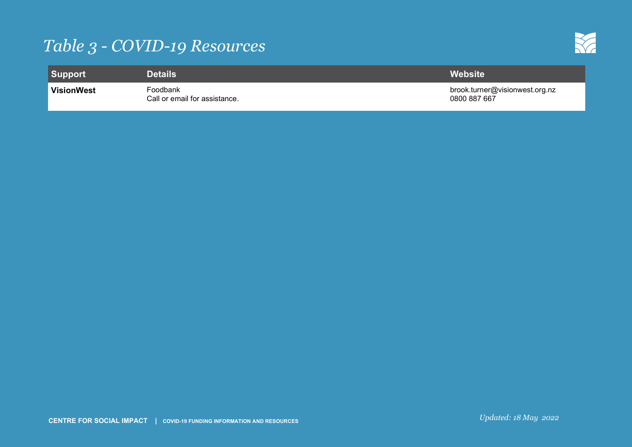

| Support           | <b>\Details</b>                           | Website'                                       |
|-------------------|-------------------------------------------|------------------------------------------------|
| <b>VisionWest</b> | Foodbank<br>Call or email for assistance. | brook.turner@visionwest.org.nz<br>0800 887 667 |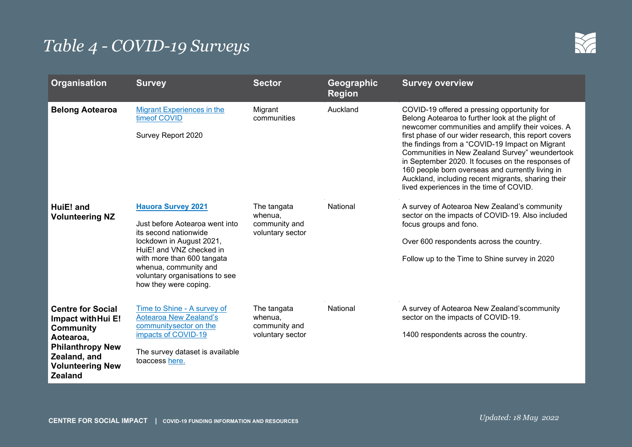

| <b>Organisation</b>                                                                                                                                                     | <b>Survey</b>                                                                                                                                                                                                                                                  | <b>Sector</b>                                               | Geographic<br><b>Region</b> | <b>Survey overview</b>                                                                                                                                                                                                                                                                                                                                                                                                                                                                                                      |
|-------------------------------------------------------------------------------------------------------------------------------------------------------------------------|----------------------------------------------------------------------------------------------------------------------------------------------------------------------------------------------------------------------------------------------------------------|-------------------------------------------------------------|-----------------------------|-----------------------------------------------------------------------------------------------------------------------------------------------------------------------------------------------------------------------------------------------------------------------------------------------------------------------------------------------------------------------------------------------------------------------------------------------------------------------------------------------------------------------------|
| <b>Belong Aotearoa</b>                                                                                                                                                  | <b>Migrant Experiences in the</b><br>timeof COVID<br>Survey Report 2020                                                                                                                                                                                        | Migrant<br>communities                                      | Auckland                    | COVID-19 offered a pressing opportunity for<br>Belong Aotearoa to further look at the plight of<br>newcomer communities and amplify their voices. A<br>first phase of our wider research, this report covers<br>the findings from a "COVID-19 Impact on Migrant<br>Communities in New Zealand Survey" weundertook<br>in September 2020. It focuses on the responses of<br>160 people born overseas and currently living in<br>Auckland, including recent migrants, sharing their<br>lived experiences in the time of COVID. |
| HuiE! and<br><b>Volunteering NZ</b>                                                                                                                                     | <b>Hauora Survey 2021</b><br>Just before Aotearoa went into<br>its second nationwide<br>lockdown in August 2021,<br>HuiE! and VNZ checked in<br>with more than 600 tangata<br>whenua, community and<br>voluntary organisations to see<br>how they were coping. | The tangata<br>whenua,<br>community and<br>voluntary sector | National                    | A survey of Aotearoa New Zealand's community<br>sector on the impacts of COVID-19. Also included<br>focus groups and fono.<br>Over 600 respondents across the country.<br>Follow up to the Time to Shine survey in 2020                                                                                                                                                                                                                                                                                                     |
| <b>Centre for Social</b><br>Impact with Hui E!<br><b>Community</b><br>Aotearoa,<br><b>Philanthropy New</b><br>Zealand, and<br><b>Volunteering New</b><br><b>Zealand</b> | Time to Shine - A survey of<br><b>Aotearoa New Zealand's</b><br>communitysector on the<br>impacts of COVID-19<br>The survey dataset is available<br>toaccess here.                                                                                             | The tangata<br>whenua,<br>community and<br>voluntary sector | National                    | A survey of Aotearoa New Zealand's community<br>sector on the impacts of COVID-19.<br>1400 respondents across the country.                                                                                                                                                                                                                                                                                                                                                                                                  |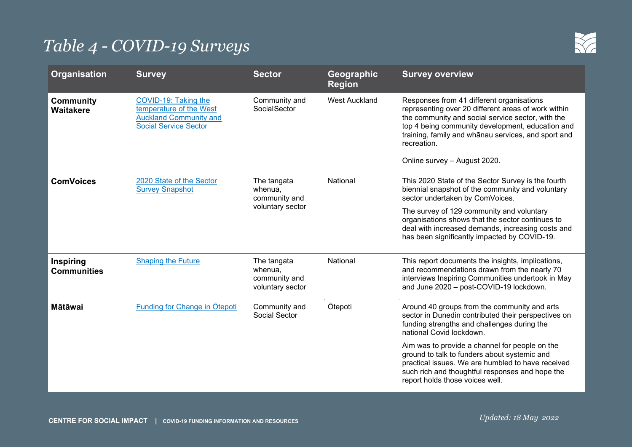

| <b>Organisation</b>                  | <b>Survey</b>                                                                                                    | <b>Sector</b>                                               | Geographic<br><b>Region</b>                                                                                                               | <b>Survey overview</b>                                                                                                                                                                                                                                                                                          |
|--------------------------------------|------------------------------------------------------------------------------------------------------------------|-------------------------------------------------------------|-------------------------------------------------------------------------------------------------------------------------------------------|-----------------------------------------------------------------------------------------------------------------------------------------------------------------------------------------------------------------------------------------------------------------------------------------------------------------|
| <b>Community</b><br><b>Waitakere</b> | COVID-19: Taking the<br>temperature of the West<br><b>Auckland Community and</b><br><b>Social Service Sector</b> | Community and<br>SocialSector                               | <b>West Auckland</b>                                                                                                                      | Responses from 41 different organisations<br>representing over 20 different areas of work within<br>the community and social service sector, with the<br>top 4 being community development, education and<br>training, family and whanau services, and sport and<br>recreation.<br>Online survey - August 2020. |
| <b>ComVoices</b>                     | National<br>2020 State of the Sector<br>The tangata<br><b>Survey Snapshot</b><br>whenua,<br>community and        |                                                             | This 2020 State of the Sector Survey is the fourth<br>biennial snapshot of the community and voluntary<br>sector undertaken by ComVoices. |                                                                                                                                                                                                                                                                                                                 |
|                                      |                                                                                                                  | voluntary sector                                            |                                                                                                                                           | The survey of 129 community and voluntary<br>organisations shows that the sector continues to<br>deal with increased demands, increasing costs and<br>has been significantly impacted by COVID-19.                                                                                                              |
| Inspiring<br><b>Communities</b>      | <b>Shaping the Future</b>                                                                                        | The tangata<br>whenua,<br>community and<br>voluntary sector | National                                                                                                                                  | This report documents the insights, implications,<br>and recommendations drawn from the nearly 70<br>interviews Inspiring Communities undertook in May<br>and June 2020 - post-COVID-19 lockdown.                                                                                                               |
| <b>Mātāwai</b>                       | Funding for Change in Otepoti                                                                                    | Community and<br><b>Social Sector</b>                       | <b>Otepoti</b>                                                                                                                            | Around 40 groups from the community and arts<br>sector in Dunedin contributed their perspectives on<br>funding strengths and challenges during the<br>national Covid lockdown.                                                                                                                                  |
|                                      |                                                                                                                  |                                                             |                                                                                                                                           | Aim was to provide a channel for people on the<br>ground to talk to funders about systemic and<br>practical issues. We are humbled to have received<br>such rich and thoughtful responses and hope the<br>report holds those voices well.                                                                       |